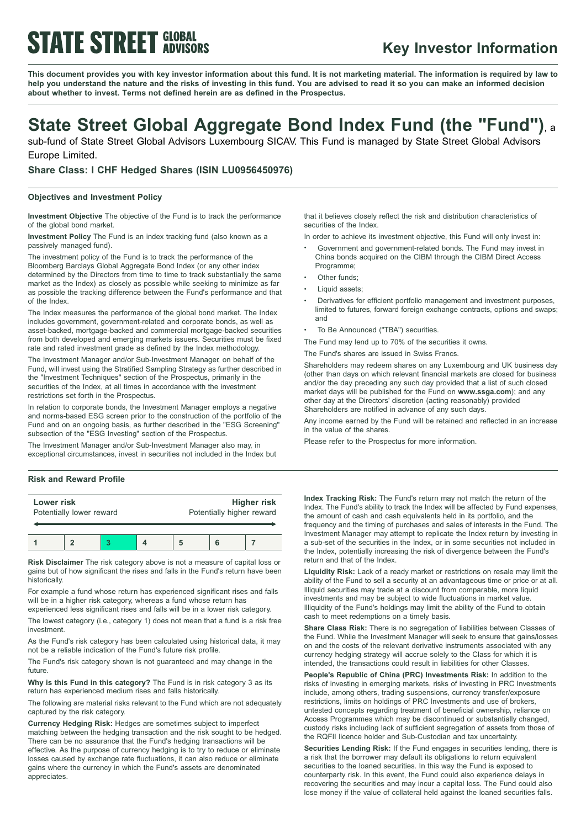# **STATE STREET GLOBAL**

### **Key Investor Information**

This document provides you with key investor information about this fund. It is not marketing material. The information is required by law to help you understand the nature and the risks of investing in this fund. You are advised to read it so you can make an informed decision **about whether to invest. Terms not defined herein are as defined in the Prospectus.**

### **State Street Global Aggregate Bond Index Fund (the "Fund")**, <sup>a</sup>

sub-fund of State Street Global Advisors Luxembourg SICAV. This Fund is managed by State Street Global Advisors Europe Limited.

**Share Class: I CHF Hedged Shares (ISIN LU0956450976)**

#### **Objectives and Investment Policy**

**Investment Objective** The objective of the Fund is to track the performance of the global bond market.

**Investment Policy** The Fund is an index tracking fund (also known as a passively managed fund).

The investment policy of the Fund is to track the performance of the Bloomberg Barclays Global Aggregate Bond Index (or any other index determined by the Directors from time to time to track substantially the same market as the Index) as closely as possible while seeking to minimize as far as possible the tracking difference between the Fund's performance and that of the Index.

The Index measures the performance of the global bond market. The Index includes government, government-related and corporate bonds, as well as asset-backed, mortgage-backed and commercial mortgage-backed securities from both developed and emerging markets issuers. Securities must be fixed rate and rated investment grade as defined by the Index methodology.

The Investment Manager and/or Sub-Investment Manager, on behalf of the Fund, will invest using the Stratified Sampling Strategy as further described in the "Investment Techniques" section of the Prospectus, primarily in the securities of the Index, at all times in accordance with the investment restrictions set forth in the Prospectus.

In relation to corporate bonds, the Investment Manager employs a negative and norms-based ESG screen prior to the construction of the portfolio of the Fund and on an ongoing basis, as further described in the "ESG Screening" subsection of the "ESG Investing" section of the Prospectus.

The Investment Manager and/or Sub-Investment Manager also may, in exceptional circumstances, invest in securities not included in the Index but

#### **Risk and Reward Profile**

| Lower risk | Potentially lower reward |  | Potentially higher reward | Higher risk |
|------------|--------------------------|--|---------------------------|-------------|
|            |                          |  |                           |             |

**Risk Disclaimer** The risk category above is not a measure of capital loss or gains but of how significant the rises and falls in the Fund's return have been historically.

For example a fund whose return has experienced significant rises and falls will be in a higher risk category, whereas a fund whose return has

experienced less significant rises and falls will be in a lower risk category. The lowest category (i.e., category 1) does not mean that a fund is a risk free

investment.

As the Fund's risk category has been calculated using historical data, it may not be a reliable indication of the Fund's future risk profile.

The Fund's risk category shown is not guaranteed and may change in the future.

**Why is this Fund in this category?** The Fund is in risk category 3 as its return has experienced medium rises and falls historically.

The following are material risks relevant to the Fund which are not adequately captured by the risk category.

**Currency Hedging Risk:** Hedges are sometimes subject to imperfect matching between the hedging transaction and the risk sought to be hedged. There can be no assurance that the Fund's hedging transactions will be effective. As the purpose of currency hedging is to try to reduce or eliminate losses caused by exchange rate fluctuations, it can also reduce or eliminate gains where the currency in which the Fund's assets are denominated appreciates.

that it believes closely reflect the risk and distribution characteristics of securities of the Index.

In order to achieve its investment objective, this Fund will only invest in:

- <sup>b</sup> Government and government-related bonds. The Fund may invest in China bonds acquired on the CIBM through the CIBM Direct Access Programme;
- Other funds;
- Liquid assets;
- Derivatives for efficient portfolio management and investment purposes, limited to futures, forward foreign exchange contracts, options and swaps; and
- To Be Announced ("TBA") securities.

The Fund may lend up to 70% of the securities it owns.

The Fund's shares are issued in Swiss Francs.

Shareholders may redeem shares on any Luxembourg and UK business day (other than days on which relevant financial markets are closed for business and/or the day preceding any such day provided that a list of such closed market days will be published for the Fund on **www.ssga.com**); and any other day at the Directors' discretion (acting reasonably) provided Shareholders are notified in advance of any such days.

Any income earned by the Fund will be retained and reflected in an increase in the value of the shares.

Please refer to the Prospectus for more information.

**Index Tracking Risk:** The Fund's return may not match the return of the Index. The Fund's ability to track the Index will be affected by Fund expenses, the amount of cash and cash equivalents held in its portfolio, and the frequency and the timing of purchases and sales of interests in the Fund. The Investment Manager may attempt to replicate the Index return by investing in a sub-set of the securities in the Index, or in some securities not included in the Index, potentially increasing the risk of divergence between the Fund's return and that of the Index.

**Liquidity Risk:** Lack of a ready market or restrictions on resale may limit the ability of the Fund to sell a security at an advantageous time or price or at all. Illiquid securities may trade at a discount from comparable, more liquid investments and may be subject to wide fluctuations in market value. Illiquidity of the Fund's holdings may limit the ability of the Fund to obtain cash to meet redemptions on a timely basis.

**Share Class Risk:** There is no segregation of liabilities between Classes of the Fund. While the Investment Manager will seek to ensure that gains/losses on and the costs of the relevant derivative instruments associated with any currency hedging strategy will accrue solely to the Class for which it is intended, the transactions could result in liabilities for other Classes.

**People's Republic of China (PRC) Investments Risk:** In addition to the risks of investing in emerging markets, risks of investing in PRC Investments include, among others, trading suspensions, currency transfer/exposure restrictions, limits on holdings of PRC Investments and use of brokers, untested concepts regarding treatment of beneficial ownership, reliance on Access Programmes which may be discontinued or substantially changed, custody risks including lack of sufficient segregation of assets from those of the RQFII licence holder and Sub-Custodian and tax uncertainty.

**Securities Lending Risk:** If the Fund engages in securities lending, there is a risk that the borrower may default its obligations to return equivalent securities to the loaned securities. In this way the Fund is exposed to counterparty risk. In this event, the Fund could also experience delays in recovering the securities and may incur a capital loss. The Fund could also lose money if the value of collateral held against the loaned securities falls.